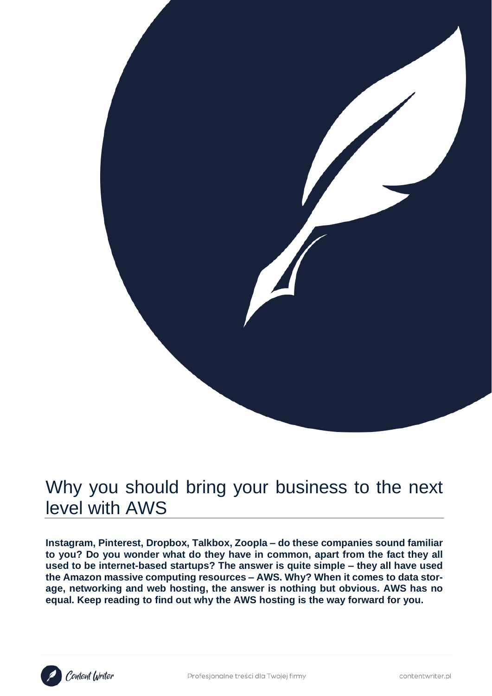

# Why you should bring your business to the next level with AWS

**Instagram, Pinterest, Dropbox, Talkbox, Zoopla – do these companies sound familiar to you? Do you wonder what do they have in common, apart from the fact they all used to be internet-based startups? The answer is quite simple – they all have used the Amazon massive computing resources – AWS. Why? When it comes to data storage, networking and web hosting, the answer is nothing but obvious. AWS has no equal. Keep reading to find out why the AWS hosting is the way forward for you.**

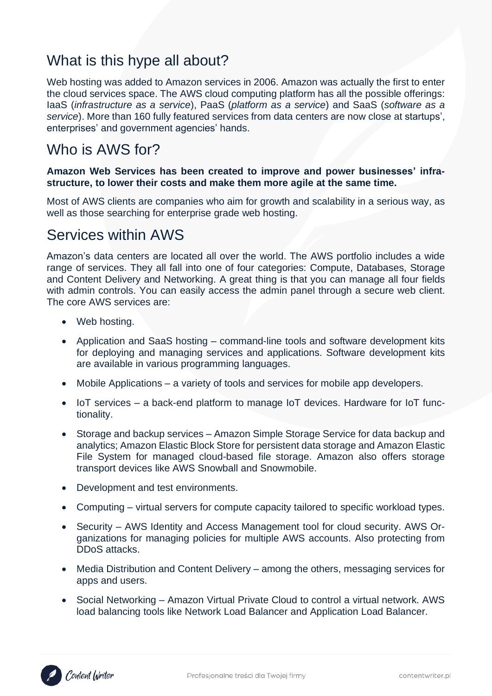### What is this hype all about?

Web hosting was added to Amazon services in 2006. Amazon was actually the first to enter the cloud services space. The AWS cloud computing platform has all the possible offerings: IaaS (*infrastructure as a service*), PaaS (*platform as a service*) and SaaS (*software as a service*). More than 160 fully featured services from data centers are now close at startups', enterprises' and government agencies' hands.

### Who is AWS for?

#### **Amazon Web Services has been created to improve and power businesses' infrastructure, to lower their costs and make them more agile at the same time.**

Most of AWS clients are companies who aim for growth and scalability in a serious way, as well as those searching for enterprise grade web hosting.

### Services within AWS

Amazon's data centers are located all over the world. The AWS portfolio includes a wide range of services. They all fall into one of four categories: Compute, Databases, Storage and Content Delivery and Networking. A great thing is that you can manage all four fields with admin controls. You can easily access the admin panel through a secure web client. The core AWS services are:

- Web hosting.
- Application and SaaS hosting command-line tools and software development kits for deploying and managing services and applications. Software development kits are available in various programming languages.
- Mobile Applications a variety of tools and services for mobile app developers.
- IoT services a back-end platform to manage IoT devices. Hardware for IoT functionality.
- Storage and backup services Amazon Simple Storage Service for data backup and analytics; Amazon Elastic Block Store for persistent data storage and Amazon Elastic File System for managed cloud-based file storage. Amazon also offers storage transport devices like AWS Snowball and Snowmobile.
- Development and test environments.
- Computing virtual servers for compute capacity tailored to specific workload types.
- Security AWS Identity and Access Management tool for cloud security. AWS Organizations for managing policies for multiple AWS accounts. Also protecting from DDoS attacks.
- Media Distribution and Content Delivery among the others, messaging services for apps and users.
- Social Networking Amazon Virtual Private Cloud to control a virtual network. AWS load balancing tools like Network Load Balancer and Application Load Balancer.